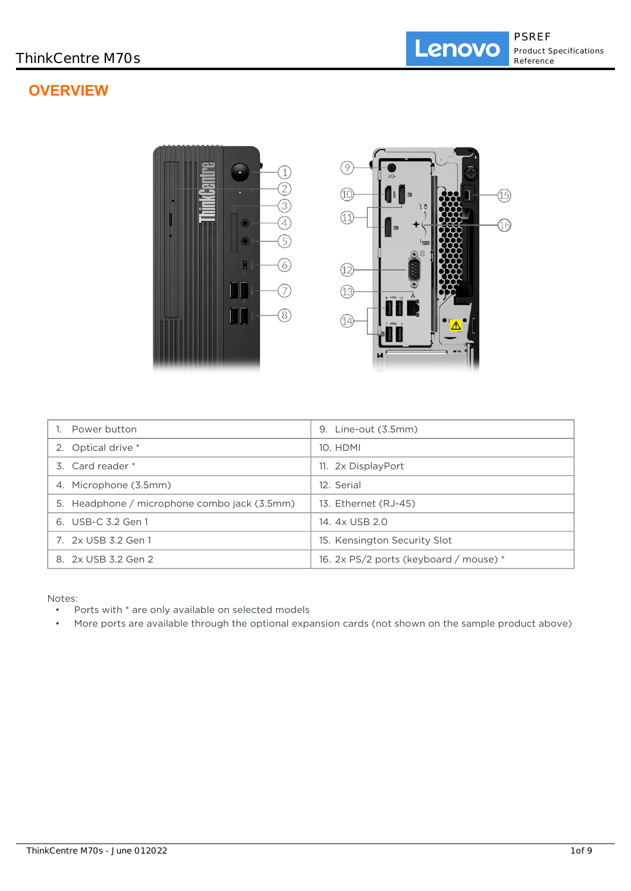# **OVERVIEW**



| Power button                                 | Line-out (3.5mm)<br>9.                 |
|----------------------------------------------|----------------------------------------|
| 2. Optical drive *                           | 10. HDMI                               |
| 3. Card reader *                             | 11. 2x DisplayPort                     |
| 4. Microphone (3.5mm)                        | 12. Serial                             |
| 5. Headphone / microphone combo jack (3.5mm) | 13. Ethernet (RJ-45)                   |
| 6. USB-C 3.2 Gen 1                           | 14. 4x USB 2.0                         |
| 7. 2x USB 3.2 Gen 1                          | 15. Kensington Security Slot           |
| 8. 2x USB 3.2 Gen 2                          | 16. 2x PS/2 ports (keyboard / mouse) * |

Notes:

- Ports with \* are only available on selected models
- More ports are available through the optional expansion cards (not shown on the sample product above)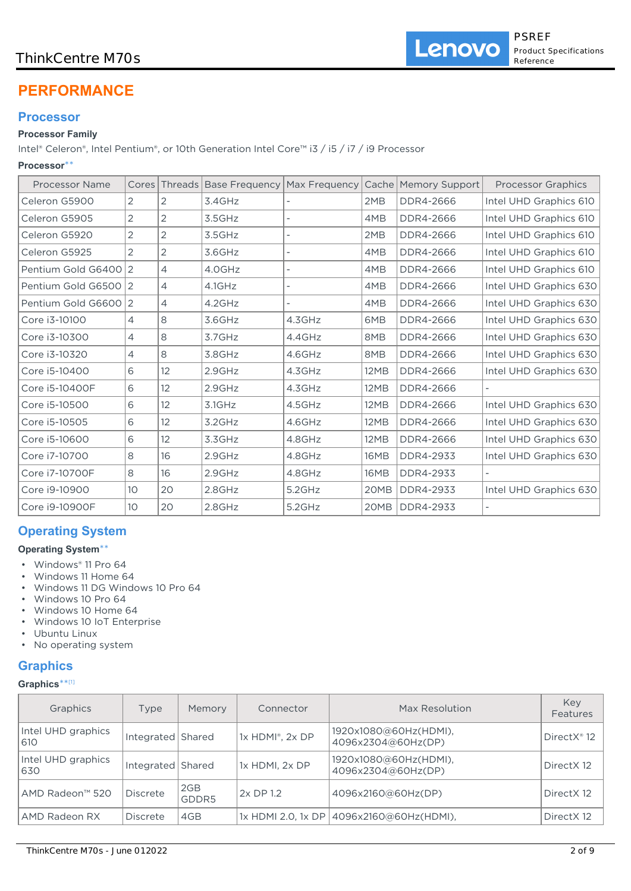# **PERFORMANCE**

# **Processor**

# **Processor Family**

Intel® Celeron®, Intel Pentium®, or 10th Generation Intel Core™ i3 / i5 / i7 / i9 Processor

### **Processor**\*\*

| <b>Processor Name</b> | Cores           |                |           |        |             | Threads   Base Frequency   Max Frequency   Cache   Memory Support | <b>Processor Graphics</b> |
|-----------------------|-----------------|----------------|-----------|--------|-------------|-------------------------------------------------------------------|---------------------------|
| Celeron G5900         | 2               | 2              | 3.4GHz    |        | 2MB         | DDR4-2666                                                         | Intel UHD Graphics 610    |
| Celeron G5905         | 2               | $\overline{2}$ | 3.5GHz    |        | 4MB         | DDR4-2666                                                         | Intel UHD Graphics 610    |
| Celeron G5920         | 2               | $\overline{2}$ | 3.5GHz    |        | 2MB         | DDR4-2666                                                         | Intel UHD Graphics 610    |
| Celeron G5925         | 2               | $\overline{2}$ | 3.6GHz    |        | 4MB         | DDR4-2666                                                         | Intel UHD Graphics 610    |
| Pentium Gold G640012  |                 | $\overline{4}$ | 4.0GHz    |        | 4MB         | DDR4-2666                                                         | Intel UHD Graphics 610    |
| Pentium Gold G6500 2  |                 | $\overline{4}$ | 4.1GHz    |        | 4MB         | DDR4-2666                                                         | Intel UHD Graphics 630    |
| Pentium Gold G6600 2  |                 | $\overline{4}$ | 4.2GHz    |        | 4MB         | DDR4-2666                                                         | Intel UHD Graphics 630    |
| Core i3-10100         | $\overline{4}$  | 8              | 3.6GHz    | 4.3GHz | 6MB         | DDR4-2666                                                         | Intel UHD Graphics 630    |
| Core i3-10300         | $\overline{4}$  | 8              | 3.7GHz    | 4.4GHz | 8MB         | DDR4-2666                                                         | Intel UHD Graphics 630    |
| Core i3-10320         | $\overline{4}$  | 8              | 3.8GHz    | 4.6GHz | 8MB         | DDR4-2666                                                         | Intel UHD Graphics 630    |
| Core i5-10400         | 6               | 12             | 2.9GHz    | 4.3GHz | 12MB        | DDR4-2666                                                         | Intel UHD Graphics 630    |
| Core i5-10400F        | 6               | 12             | 2.9GHz    | 4.3GHz | 12MB        | DDR4-2666                                                         |                           |
| Core i5-10500         | 6               | 12             | $3.1$ GHz | 4.5GHz | <b>12MB</b> | DDR4-2666                                                         | Intel UHD Graphics 630    |
| Core i5-10505         | 6               | 12             | 3.2GHz    | 4.6GHz | 12MB        | DDR4-2666                                                         | Intel UHD Graphics 630    |
| Core i5-10600         | 6               | 12             | 3.3GHz    | 4.8GHz | 12MB        | DDR4-2666                                                         | Intel UHD Graphics 630    |
| Core i7-10700         | 8               | 16             | 2.9GHz    | 4.8GHz | 16MB        | DDR4-2933                                                         | Intel UHD Graphics 630    |
| Core i7-10700F        | 8               | 16             | 2.9GHz    | 4.8GHz | 16MB        | DDR4-2933                                                         |                           |
| Core i9-10900         | 10 <sup>°</sup> | 20             | 2.8GHz    | 5.2GHz | 20MB        | DDR4-2933                                                         | Intel UHD Graphics 630    |
| Core i9-10900F        | 10 <sup>°</sup> | 20             | 2.8GHz    | 5.2GHz | 20MB        | <b>DDR4-2933</b>                                                  |                           |

# **Operating System**

### **Operating System**\*\*

- Windows® 11 Pro 64
- Windows 11 Home 64
- Windows 11 DG Windows 10 Pro 64
- Windows 10 Pro 64
- Windows 10 Home 64
- Windows 10 IoT Enterprise
- Ubuntu Linux • No operating system

# **Graphics**

| Graphics**[1] |  |
|---------------|--|
|---------------|--|

| Graphics                  | Type              | Memory       | Connector              | Max Resolution                              | Kev<br>Features         |
|---------------------------|-------------------|--------------|------------------------|---------------------------------------------|-------------------------|
| Intel UHD graphics<br>610 | Integrated Shared |              | 1x HDMI®, 2x DP        | 1920x1080@60Hz(HDMI),<br>4096x2304@60Hz(DP) | DirectX <sup>®</sup> 12 |
| Intel UHD graphics<br>630 | Integrated Shared |              | 1x HDMI, 2x DP         | 1920x1080@60Hz(HDMI),<br>4096x2304@60Hz(DP) | Direct X12              |
| AMD Radeon™ 520           | <b>Discrete</b>   | 2GB<br>GDDR5 | 2x DP 1.2              | 4096x2160@60Hz(DP)                          | Direct X12              |
| AMD Radeon RX             | Discrete          | 4GB          | $1x$ HDMI 2.0, $1x$ DP | 4096x2160@60Hz(HDMI),                       | Direct X12              |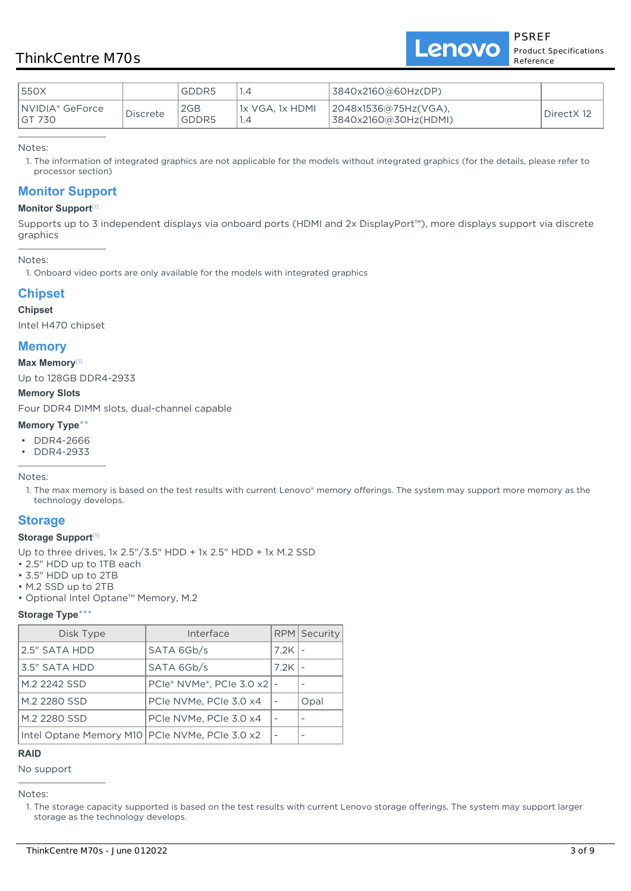Lenovo

| 1550X                       |          | GDDR5        |                  | 3840x2160@60Hz(DP)                           |            |
|-----------------------------|----------|--------------|------------------|----------------------------------------------|------------|
| INVIDIA® GeForce<br>IGT 730 | Discrete | 2GB<br>GDDR5 | l1x VGA. 1x HDML | 2048x1536@75Hz(VGA),<br>3840x2160@30Hz(HDMI) | DirectX 12 |

Notes:

1. The information of integrated graphics are not applicable for the models without integrated graphics (for the details, please refer to processor section)

### **Monitor Support**

#### **Monitor Support**[1]

Supports up to 3 independent displays via onboard ports (HDMI and 2x DisplayPort™), more displays support via discrete graphics

Notes:

1. Onboard video ports are only available for the models with integrated graphics

### **Chipset**

#### **Chipset**

Intel H470 chipset

### **Memory**

#### **Max Memory**[1]

Up to 128GB DDR4-2933

### **Memory Slots**

Four DDR4 DIMM slots, dual-channel capable

#### **Memory Type**\*\*

- DDR4-2666
- DDR4-2933

Notes:

1. The max memory is based on the test results with current Lenovo® memory offerings. The system may support more memory as the technology develops.

### **Storage**

#### **Storage Support**[1]

- Up to three drives, 1x 2.5"/3.5" HDD + 1x 2.5" HDD + 1x M.2 SSD
- 2.5" HDD up to 1TB each
- 3.5" HDD up to 2TB
- M.2 SSD up to 2TB
- Optional Intel Optane™ Memory, M.2

### **Storage Type**\*\*\*

| Disk Type                                        | Interface                                      |      | RPM Security |
|--------------------------------------------------|------------------------------------------------|------|--------------|
| 2.5" SATA HDD                                    | SATA 6Gb/s                                     | 7.2K |              |
| 3.5" SATA HDD                                    | SATA 6Gb/s                                     | 7.2K |              |
| M.2 2242 SSD                                     | $PCle^{\circ}$ NVMe $^{\circ}$ . PCIe 3.0 x2 - |      |              |
| M.2 2280 SSD                                     | PCIe NVMe, PCIe 3.0 x4                         |      | Opal         |
| M.2 2280 SSD                                     | PCIe NVMe, PCIe 3.0 x4                         |      |              |
| Intel Optane Memory M10   PCIe NVMe, PCIe 3.0 x2 |                                                |      |              |

### **RAID**

No support

Notes:

<sup>1.</sup> The storage capacity supported is based on the test results with current Lenovo storage offerings. The system may support larger storage as the technology develops.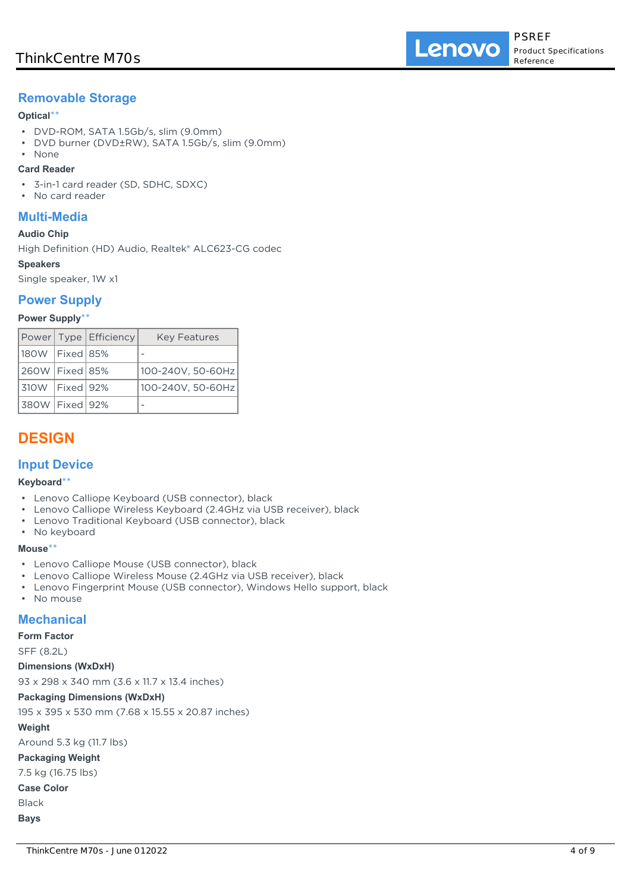# **Removable Storage**

### **Optical**\*\*

- DVD-ROM, SATA 1.5Gb/s, slim (9.0mm)
- DVD burner (DVD±RW), SATA 1.5Gb/s, slim (9.0mm)
- None

### **Card Reader**

- 3-in-1 card reader (SD, SDHC, SDXC)
- No card reader

### **Multi-Media**

### **Audio Chip**

High Definition (HD) Audio, Realtek® ALC623-CG codec

### **Speakers**

Single speaker, 1W x1

### **Power Supply**

### **Power Supply**\*\*

|                    | Power Type   Efficiency | <b>Key Features</b> |
|--------------------|-------------------------|---------------------|
| 180W   Fixed   85% |                         |                     |
| 260W   Fixed   85% |                         | 100-240V, 50-60Hz   |
| 310W   Fixed   92% |                         | 100-240V, 50-60Hz   |
| 380W   Fixed   92% |                         |                     |

# **DESIGN**

### **Input Device**

### **Keyboard**\*\*

- Lenovo Calliope Keyboard (USB connector), black
- Lenovo Calliope Wireless Keyboard (2.4GHz via USB receiver), black
- Lenovo Traditional Keyboard (USB connector), black
- No keyboard

### **Mouse**\*\*

- Lenovo Calliope Mouse (USB connector), black
- Lenovo Calliope Wireless Mouse (2.4GHz via USB receiver), black
- Lenovo Fingerprint Mouse (USB connector), Windows Hello support, black
- No mouse

### **Mechanical**

### **Form Factor**

SFF (8.2L)

### **Dimensions (WxDxH)**

93 x 298 x 340 mm (3.6 x 11.7 x 13.4 inches)

### **Packaging Dimensions (WxDxH)**

195 x 395 x 530 mm (7.68 x 15.55 x 20.87 inches)

### **Weight**

Around 5.3 kg (11.7 lbs)

**Packaging Weight**

7.5 kg (16.75 lbs)

**Case Color**

Black

**Bays**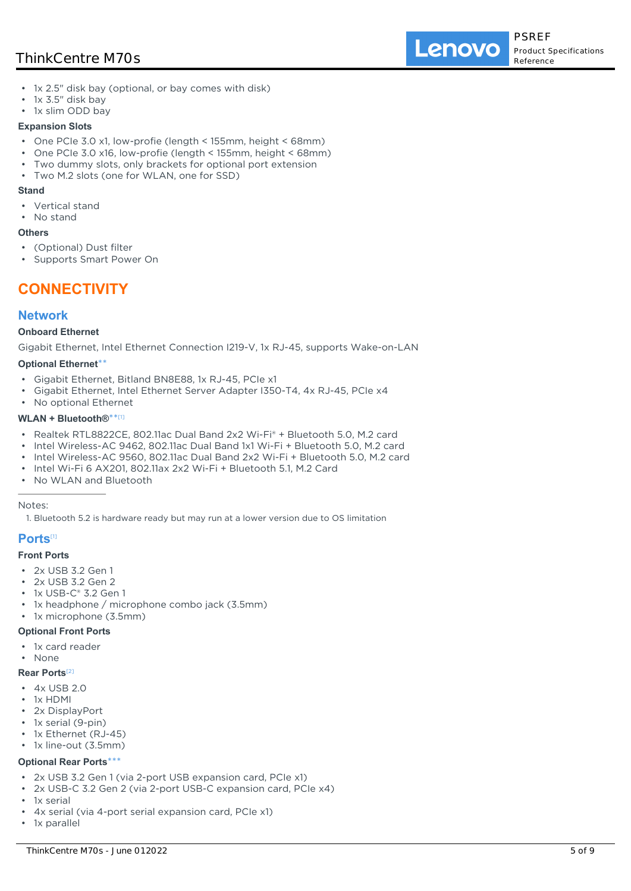Lenovo

- 1x 2.5" disk bay (optional, or bay comes with disk)
- 1x 3.5" disk bay
- 1x slim ODD bay

#### **Expansion Slots**

- One PCIe 3.0 x1, low-profie (length < 155mm, height < 68mm)
- One PCIe 3.0 x16, low-profie (length < 155mm, height < 68mm)
- Two dummy slots, only brackets for optional port extension
- Two M.2 slots (one for WLAN, one for SSD)

#### **Stand**

- Vertical stand
- No stand

#### **Others**

- (Optional) Dust filter
- Supports Smart Power On

# **CONNECTIVITY**

### **Network**

### **Onboard Ethernet**

Gigabit Ethernet, Intel Ethernet Connection I219-V, 1x RJ-45, supports Wake-on-LAN

#### **Optional Ethernet**\*\*

- Gigabit Ethernet, Bitland BN8E88, 1x RJ-45, PCIe x1
- Gigabit Ethernet, Intel Ethernet Server Adapter I350-T4, 4x RJ-45, PCIe x4
- No optional Ethernet

### **WLAN + Bluetooth®**\*\* [1]

- Realtek RTL8822CE, 802.11ac Dual Band 2x2 Wi-Fi® + Bluetooth 5.0, M.2 card
- Intel Wireless-AC 9462, 802.11ac Dual Band 1x1 Wi-Fi + Bluetooth 5.0, M.2 card
- Intel Wireless-AC 9560, 802.11ac Dual Band 2x2 Wi-Fi + Bluetooth 5.0, M.2 card
- Intel Wi-Fi 6 AX201, 802.11ax 2x2 Wi-Fi + Bluetooth 5.1, M.2 Card
- No WLAN and Bluetooth

#### Notes:

1. Bluetooth 5.2 is hardware ready but may run at a lower version due to OS limitation

### **Ports**[1]

### **Front Ports**

- 2x USB 3.2 Gen 1
- 2x USB 3.2 Gen 2
- 1x USB-C® 3.2 Gen 1
- 1x headphone / microphone combo jack (3.5mm)
- 1x microphone (3.5mm)

### **Optional Front Ports**

- 1x card reader
- None

#### **Rear Ports**[2]

- 4x USB 2.0
- 1x HDMI
- 2x DisplayPort
- 1x serial (9-pin)
- 1x Ethernet (RJ-45)
- 1x line-out (3.5mm)

#### **Optional Rear Ports**\*\*\*

- 2x USB 3.2 Gen 1 (via 2-port USB expansion card, PCIe x1)
- 2x USB-C 3.2 Gen 2 (via 2-port USB-C expansion card, PCIe x4)
- 1x serial
- 4x serial (via 4-port serial expansion card, PCIe x1)
- 1x parallel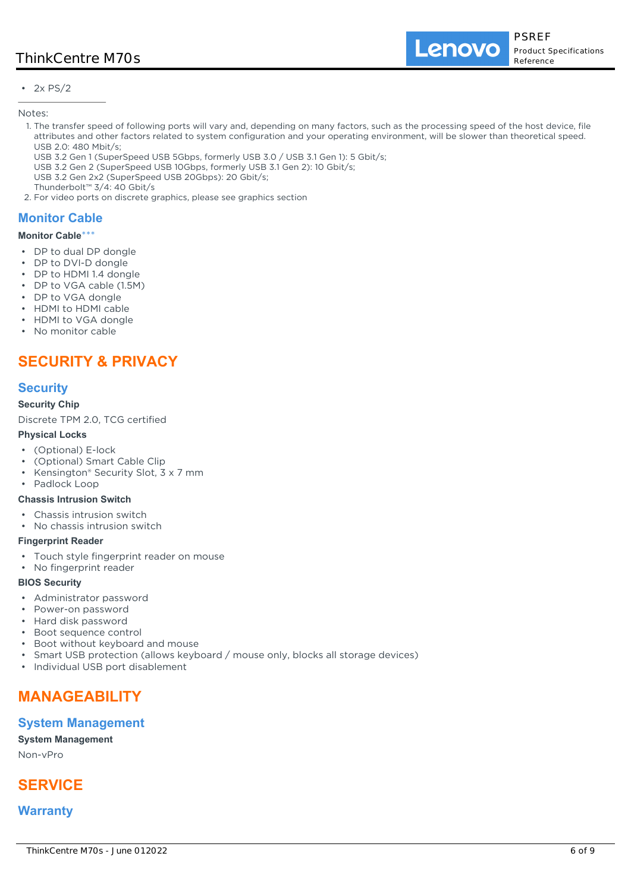$\cdot$  2x PS/2

Notes:

- 1. The transfer speed of following ports will vary and, depending on many factors, such as the processing speed of the host device, file attributes and other factors related to system configuration and your operating environment, will be slower than theoretical speed. USB 2.0: 480 Mbit/s;
	- USB 3.2 Gen 1 (SuperSpeed USB 5Gbps, formerly USB 3.0 / USB 3.1 Gen 1): 5 Gbit/s;
	- USB 3.2 Gen 2 (SuperSpeed USB 10Gbps, formerly USB 3.1 Gen 2): 10 Gbit/s;
- USB 3.2 Gen 2x2 (SuperSpeed USB 20Gbps): 20 Gbit/s;
- Thunderbolt™ 3/4: 40 Gbit/s
- 2. For video ports on discrete graphics, please see graphics section

# **Monitor Cable**

### **Monitor Cable**\*\*\*

- DP to dual DP dongle
- DP to DVI-D dongle
- DP to HDMI 1.4 dongle
- DP to VGA cable (1.5M)
- DP to VGA dongle
- HDMI to HDMI cable
- HDMI to VGA dongle
- No monitor cable

# **SECURITY & PRIVACY**

## **Security**

### **Security Chip**

Discrete TPM 2.0, TCG certified

### **Physical Locks**

- (Optional) E-lock
- (Optional) Smart Cable Clip
- Kensington® Security Slot, 3 x 7 mm
- Padlock Loop

### **Chassis Intrusion Switch**

- Chassis intrusion switch
- No chassis intrusion switch

### **Fingerprint Reader**

- Touch style fingerprint reader on mouse
- No fingerprint reader

### **BIOS Security**

- Administrator password
- Power-on password
- Hard disk password
- Boot sequence control
- Boot without keyboard and mouse
- Smart USB protection (allows keyboard / mouse only, blocks all storage devices)
- Individual USB port disablement

# **MANAGEABILITY**

### **System Management**

**System Management**

Non-vPro

# **SERVICE**

## **Warranty**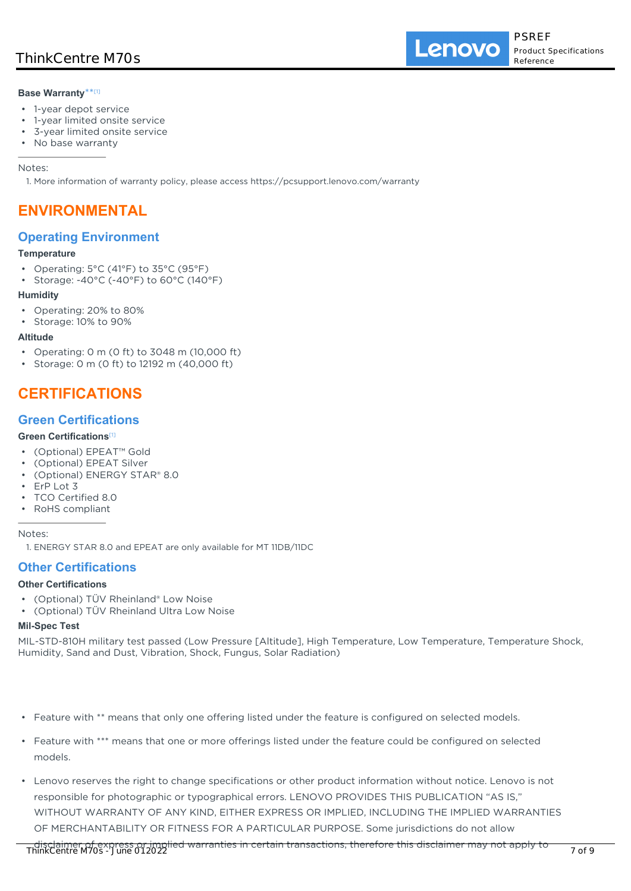### **Base Warranty**\*\* [1]

- 1-year depot service
- 1-year limited onsite service
- 3-year limited onsite service
- No base warranty

Notes:

1. More information of warranty policy, please access https://pcsupport.lenovo.com/warranty

# **ENVIRONMENTAL**

### **Operating Environment**

### **Temperature**

- Operating: 5°C (41°F) to 35°C (95°F)
- Storage: -40°C (-40°F) to 60°C (140°F)

### **Humidity**

- Operating: 20% to 80%
- Storage: 10% to 90%

### **Altitude**

- Operating: 0 m (0 ft) to 3048 m (10,000 ft)
- Storage: 0 m (0 ft) to 12192 m (40,000 ft)

# **CERTIFICATIONS**

### **Green Certifications**

### **Green Certifications**[1]

- (Optional) EPEAT™ Gold
- (Optional) EPEAT Silver
- (Optional) ENERGY STAR® 8.0
- ErP Lot 3
- TCO Certified 8.0
- RoHS compliant

Notes:

## **Other Certifications**

### **Other Certifications**

- (Optional) TÜV Rheinland® Low Noise
- (Optional) TÜV Rheinland Ultra Low Noise

### **Mil-Spec Test**

MIL-STD-810H military test passed (Low Pressure [Altitude], High Temperature, Low Temperature, Temperature Shock, Humidity, Sand and Dust, Vibration, Shock, Fungus, Solar Radiation)

- Feature with \*\* means that only one offering listed under the feature is configured on selected models.
- Feature with \*\*\* means that one or more offerings listed under the feature could be configured on selected models.
- Lenovo reserves the right to change specifications or other product information without notice. Lenovo is not responsible for photographic or typographical errors. LENOVO PROVIDES THIS PUBLICATION "AS IS," WITHOUT WARRANTY OF ANY KIND, EITHER EXPRESS OR IMPLIED, INCLUDING THE IMPLIED WARRANTIES OF MERCHANTABILITY OR FITNESS FOR A PARTICULAR PURPOSE. Some jurisdictions do not allow

<sup>1.</sup> ENERGY STAR 8.0 and EPEAT are only available for MT 11DB/11DC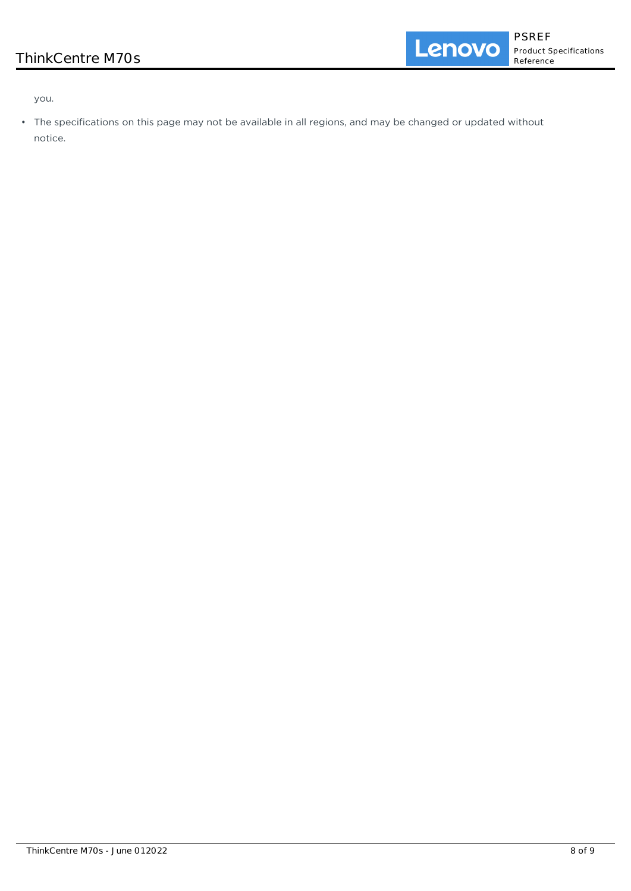**Product Specifications** Reference

you.

• The specifications on this page may not be available in all regions, and may be changed or updated without notice.